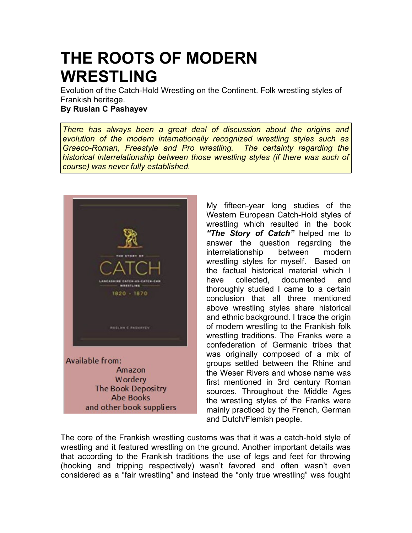## **THE ROOTS OF MODERN WRESTLING**

Evolution of the Catch-Hold Wrestling on the Continent. Folk wrestling styles of Frankish heritage. **By Ruslan C Pashayev**

*There has always been a great deal of discussion about the origins and evolution of the modern internationally recognized wrestling styles such as Graeco-Roman, Freestyle and Pro wrestling. The certainty regarding the historical interrelationship between those wrestling styles (if there was such of course) was never fully established.*



My fifteen-year long studies of the Western European Catch-Hold styles of wrestling which resulted in the book *"The Story of Catch"* helped me to answer the question regarding the interrelationship between modern wrestling styles for myself. Based on the factual historical material which I have collected, documented and thoroughly studied I came to a certain conclusion that all three mentioned above wrestling styles share historical and ethnic background. I trace the origin of modern wrestling to the Frankish folk wrestling traditions. The Franks were a confederation of Germanic tribes that was originally composed of a mix of groups settled between the Rhine and the Weser Rivers and whose name was first mentioned in 3rd century Roman sources. Throughout the Middle Ages the wrestling styles of the Franks were mainly practiced by the French, German and Dutch/Flemish people.

The core of the Frankish wrestling customs was that it was a catch-hold style of wrestling and it featured wrestling on the ground. Another important details was that according to the Frankish traditions the use of legs and feet for throwing (hooking and tripping respectively) wasn't favored and often wasn't even considered as a "fair wrestling" and instead the "only true wrestling" was fought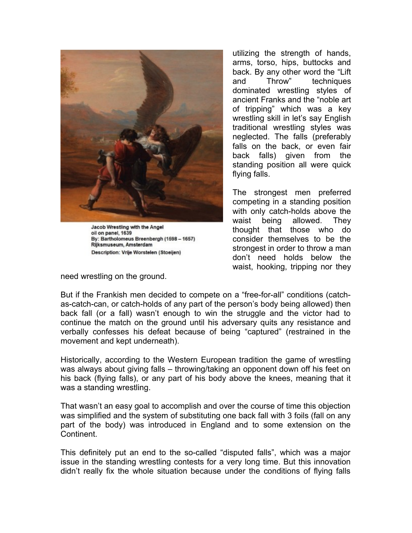

Jacob Wrestling with the Angel oil on panel, 1639 By: Bartholomeus Breenbergh (1598 - 1657) Rijksmuseum, Amsterdam Description: Vrije Worstelen (Stoeijen)

need wrestling on the ground.

utilizing the strength of hands, arms, torso, hips, buttocks and back. By any other word the "Lift and Throw" techniques dominated wrestling styles of ancient Franks and the "noble art of tripping" which was a key wrestling skill in let's say English traditional wrestling styles was neglected. The falls (preferably falls on the back, or even fair back falls) given from the standing position all were quick flying falls.

The strongest men preferred competing in a standing position with only catch-holds above the waist being allowed. They thought that those who do consider themselves to be the strongest in order to throw a man don't need holds below the waist, hooking, tripping nor they

But if the Frankish men decided to compete on a "free-for-all" conditions (catchas-catch-can, or catch-holds of any part of the person's body being allowed) then back fall (or a fall) wasn't enough to win the struggle and the victor had to continue the match on the ground until his adversary quits any resistance and verbally confesses his defeat because of being "captured" (restrained in the movement and kept underneath).

Historically, according to the Western European tradition the game of wrestling was always about giving falls – throwing/taking an opponent down off his feet on his back (flying falls), or any part of his body above the knees, meaning that it was a standing wrestling.

That wasn't an easy goal to accomplish and over the course of time this objection was simplified and the system of substituting one back fall with 3 foils (fall on any part of the body) was introduced in England and to some extension on the **Continent** 

This definitely put an end to the so-called "disputed falls", which was a major issue in the standing wrestling contests for a very long time. But this innovation didn't really fix the whole situation because under the conditions of flying falls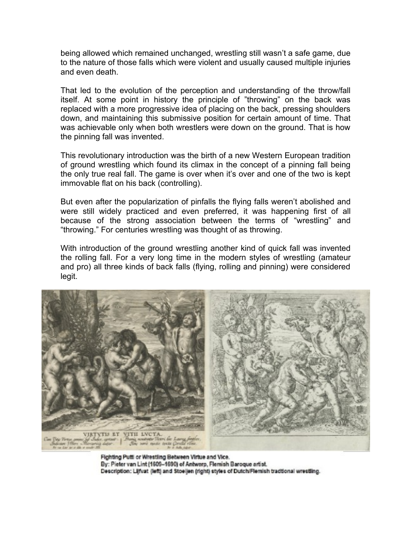being allowed which remained unchanged, wrestling still wasn't a safe game, due to the nature of those falls which were violent and usually caused multiple injuries and even death.

That led to the evolution of the perception and understanding of the throw/fall itself. At some point in history the principle of "throwing" on the back was replaced with a more progressive idea of placing on the back, pressing shoulders down, and maintaining this submissive position for certain amount of time. That was achievable only when both wrestlers were down on the ground. That is how the pinning fall was invented.

This revolutionary introduction was the birth of a new Western European tradition of ground wrestling which found its climax in the concept of a pinning fall being the only true real fall. The game is over when it's over and one of the two is kept immovable flat on his back (controlling).

But even after the popularization of pinfalls the flying falls weren't abolished and were still widely practiced and even preferred, it was happening first of all because of the strong association between the terms of "wrestling" and "throwing." For centuries wrestling was thought of as throwing.

With introduction of the ground wrestling another kind of quick fall was invented the rolling fall. For a very long time in the modern styles of wrestling (amateur and pro) all three kinds of back falls (flying, rolling and pinning) were considered legit.



Fighting Putti or Wrestling Between Virtue and Vice. By: Pieter van Lint (1609-1690) of Antwerp, Flemish Baroque artist. Description: Lijfvat (left) and Stoeijen (right) styles of Dutch/Flemish tradtional wrestling.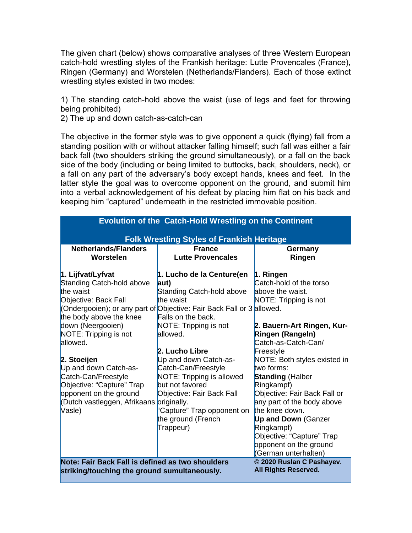The given chart (below) shows comparative analyses of three Western European catch-hold wrestling styles of the Frankish heritage: Lutte Provencales (France), Ringen (Germany) and Worstelen (Netherlands/Flanders). Each of those extinct wrestling styles existed in two modes:

1) The standing catch-hold above the waist (use of legs and feet for throwing being prohibited)

2) The up and down catch-as-catch-can

The objective in the former style was to give opponent a quick (flying) fall from a standing position with or without attacker falling himself; such fall was either a fair back fall (two shoulders striking the ground simultaneously), or a fall on the back side of the body (including or being limited to buttocks, back, shoulders, neck), or a fall on any part of the adversary's body except hands, knees and feet. In the latter style the goal was to overcome opponent on the ground, and submit him into a verbal acknowledgement of his defeat by placing him flat on his back and keeping him "captured" underneath in the restricted immovable position.

| <b>Evolution of the Catch-Hold Wrestling on the Continent</b>                                                                                                            |                                                                                                                                                                                            |                                                                                                                                                                                                                                                                                                |
|--------------------------------------------------------------------------------------------------------------------------------------------------------------------------|--------------------------------------------------------------------------------------------------------------------------------------------------------------------------------------------|------------------------------------------------------------------------------------------------------------------------------------------------------------------------------------------------------------------------------------------------------------------------------------------------|
| <b>Folk Wrestling Styles of Frankish Heritage</b>                                                                                                                        |                                                                                                                                                                                            |                                                                                                                                                                                                                                                                                                |
| <b>Netherlands/Flanders</b><br>Worstelen                                                                                                                                 | <b>France</b><br><b>Lutte Provencales</b>                                                                                                                                                  | Germany<br>Ringen                                                                                                                                                                                                                                                                              |
| 1. Lijfvat/Lyfvat<br>Standing Catch-hold above<br>the waist<br>Objective: Back Fall<br>the body above the knee                                                           | 1. Lucho de la Centure(en<br>aut)<br>Standing Catch-hold above<br>the waist<br>(Ondergooien); or any part of Objective: Fair Back Fall or 3 allowed.<br>Falls on the back.                 | 1. Ringen<br>Catch-hold of the torso<br>above the waist.<br>NOTE: Tripping is not                                                                                                                                                                                                              |
| down (Neergooien)<br>NOTE: Tripping is not<br>allowed.                                                                                                                   | NOTE: Tripping is not<br>allowed.<br>2. Lucho Libre                                                                                                                                        | 2. Bauern-Art Ringen, Kur-<br>Ringen (Rangeln)<br>Catch-as-Catch-Can/<br>Freestyle                                                                                                                                                                                                             |
| 2. Stoeijen<br>Up and down Catch-as-<br>Catch-Can/Freestyle<br>Objective: "Capture" Trap<br>opponent on the ground<br>(Dutch vastleggen, Afrikaans originally.<br>Vasle) | Up and down Catch-as-<br>Catch-Can/Freestyle<br>NOTE: Tripping is allowed<br>but not favored<br>Objective: Fair Back Fall<br>'Capture" Trap opponent on<br>the ground (French<br>Trappeur) | NOTE: Both styles existed in<br>two forms:<br><b>Standing (Halber</b><br>Ringkampf)<br>Objective: Fair Back Fall or<br>any part of the body above<br>the knee down.<br><b>Up and Down (Ganzer</b><br>Ringkampf)<br>Objective: "Capture" Trap<br>opponent on the ground<br>(German unterhalten) |
| Note: Fair Back Fall is defined as two shoulders<br>striking/touching the ground sumultaneously.                                                                         |                                                                                                                                                                                            | © 2020 Ruslan C Pashayev.<br>All Rights Reserved.                                                                                                                                                                                                                                              |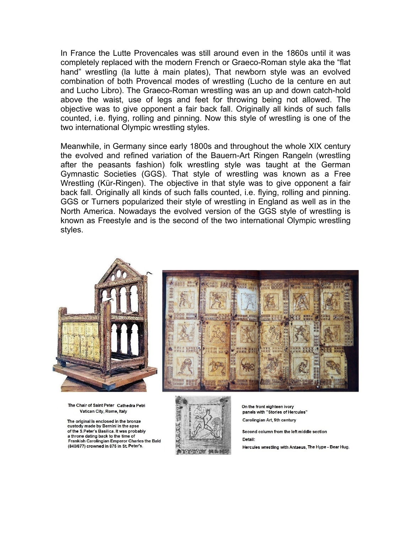In France the Lutte Provencales was still around even in the 1860s until it was completely replaced with the modern French or Graeco-Roman style aka the "flat hand" wrestling (la lutte à main plates), That newborn style was an evolved combination of both Provencal modes of wrestling (Lucho de la centure en aut and Lucho Libro). The Graeco-Roman wrestling was an up and down catch-hold above the waist, use of legs and feet for throwing being not allowed. The objective was to give opponent a fair back fall. Originally all kinds of such falls counted, i.e. flying, rolling and pinning. Now this style of wrestling is one of the two international Olympic wrestling styles.

Meanwhile, in Germany since early 1800s and throughout the whole XIX century the evolved and refined variation of the Bauern-Art Ringen Rangeln (wrestling after the peasants fashion) folk wrestling style was taught at the German Gymnastic Societies (GGS). That style of wrestling was known as a Free Wrestling (Kür-Ringen). The objective in that style was to give opponent a fair back fall. Originally all kinds of such falls counted, i.e. flying, rolling and pinning. GGS or Turners popularized their style of wrestling in England as well as in the North America. Nowadays the evolved version of the GGS style of wrestling is known as Freestyle and is the second of the two international Olympic wrestling styles.



The Chair of Saint Peter Cathedra Petri Vatican City, Rome, Italy

The original is enclosed in the bronze custody made by Bernini in the apse of the S.Peter's Basilica. It was probably a throne dating back to the time of Frankish Carolingian Emperor Charles the Bald (840/877) crowned in 875 in St. Peter's.





On the front eighteen ivory panels with "Stories of Hercules" Carolingian Art, 9th century

Second column from the left middle section Detail:

Hercules wrestling with Antaeus, The Hype - Bear Hug.